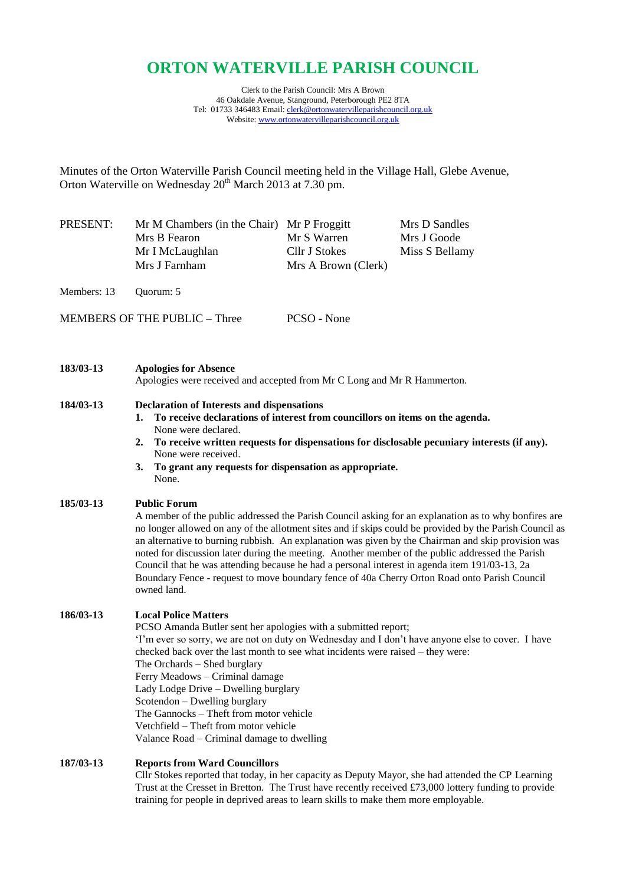# **ORTON WATERVILLE PARISH COUNCIL**

Clerk to the Parish Council: Mrs A Brown 46 Oakdale Avenue, Stanground, Peterborough PE2 8TA Tel: 01733 346483 Email[: clerk@ortonwatervilleparishcouncil.org.uk](mailto:clerk@ortonwatervilleparishcouncil.org.uk) Website: [www.ortonwatervilleparishcouncil.org.uk](http://www.ortonwatervilleparishcouncil.org.uk/)

Minutes of the Orton Waterville Parish Council meeting held in the Village Hall, Glebe Avenue, Orton Waterville on Wednesday  $20^{th}$  March 2013 at 7.30 pm.

| PRESENT: | Mr M Chambers (in the Chair) Mr P Froggitt |                     | Mrs D Sandles  |
|----------|--------------------------------------------|---------------------|----------------|
|          | Mrs B Fearon                               | Mr S Warren         | Mrs J Goode    |
|          | Mr I McLaughlan                            | Cllr J Stokes       | Miss S Bellamy |
|          | Mrs J Farnham                              | Mrs A Brown (Clerk) |                |
|          |                                            |                     |                |

Members: 13 Quorum: 5

MEMBERS OF THE PUBLIC – Three PCSO - None

| 183/03-13 | <b>Apologies for Absence</b>                                            |
|-----------|-------------------------------------------------------------------------|
|           | Apologies were received and accepted from Mr C Long and Mr R Hammerton. |

#### **184/03-13 Declaration of Interests and dispensations**

- **1. To receive declarations of interest from councillors on items on the agenda.** None were declared.
- **2. To receive written requests for dispensations for disclosable pecuniary interests (if any).** None were received.
- **3. To grant any requests for dispensation as appropriate.** None.

#### **185/03-13 Public Forum**

A member of the public addressed the Parish Council asking for an explanation as to why bonfires are no longer allowed on any of the allotment sites and if skips could be provided by the Parish Council as an alternative to burning rubbish. An explanation was given by the Chairman and skip provision was noted for discussion later during the meeting. Another member of the public addressed the Parish Council that he was attending because he had a personal interest in agenda item 191/03-13, 2a Boundary Fence - request to move boundary fence of 40a Cherry Orton Road onto Parish Council owned land.

# **186/03-13 Local Police Matters**

PCSO Amanda Butler sent her apologies with a submitted report; 'I'm ever so sorry, we are not on duty on Wednesday and I don't have anyone else to cover. I have checked back over the last month to see what incidents were raised – they were: The Orchards – Shed burglary Ferry Meadows – Criminal damage Lady Lodge Drive – Dwelling burglary Scotendon – Dwelling burglary The Gannocks – Theft from motor vehicle Vetchfield – Theft from motor vehicle Valance Road – Criminal damage to dwelling

# **187/03-13 Reports from Ward Councillors**

Cllr Stokes reported that today, in her capacity as Deputy Mayor, she had attended the CP Learning Trust at the Cresset in Bretton. The Trust have recently received £73,000 lottery funding to provide training for people in deprived areas to learn skills to make them more employable.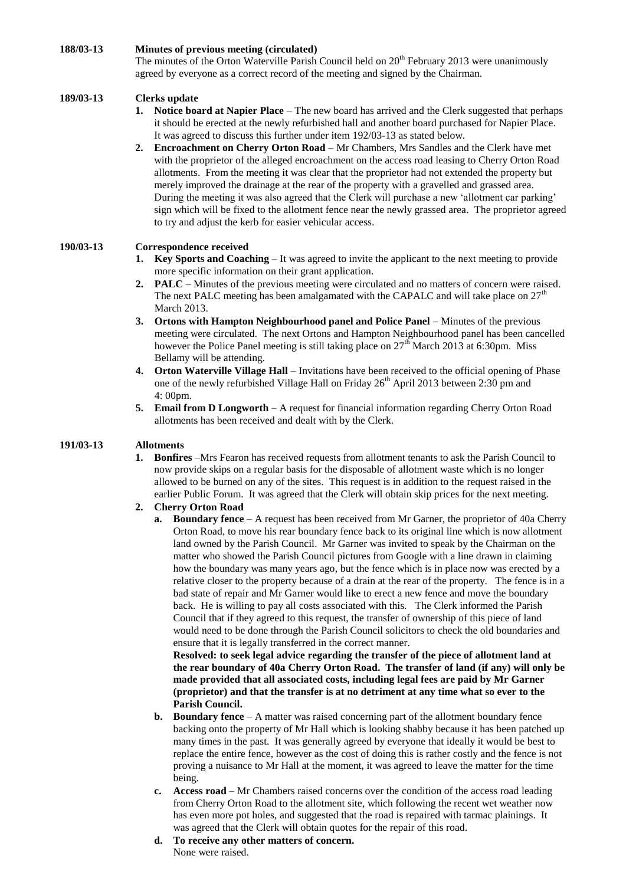#### **188/03-13 Minutes of previous meeting (circulated)**

The minutes of the Orton Waterville Parish Council held on  $20<sup>th</sup>$  February 2013 were unanimously agreed by everyone as a correct record of the meeting and signed by the Chairman.

#### **189/03-13 Clerks update**

- **1. Notice board at Napier Place** The new board has arrived and the Clerk suggested that perhaps it should be erected at the newly refurbished hall and another board purchased for Napier Place. It was agreed to discuss this further under item 192/03-13 as stated below.
- **2. Encroachment on Cherry Orton Road** *–* Mr Chambers, Mrs Sandles and the Clerk have met with the proprietor of the alleged encroachment on the access road leasing to Cherry Orton Road allotments. From the meeting it was clear that the proprietor had not extended the property but merely improved the drainage at the rear of the property with a gravelled and grassed area. During the meeting it was also agreed that the Clerk will purchase a new 'allotment car parking' sign which will be fixed to the allotment fence near the newly grassed area. The proprietor agreed to try and adjust the kerb for easier vehicular access.

# **190/03-13 Correspondence received**

- **1. Key Sports and Coaching** *–* It was agreed to invite the applicant to the next meeting to provide more specific information on their grant application.
- **2. PALC** *–* Minutes of the previous meeting were circulated and no matters of concern were raised. The next PALC meeting has been amalgamated with the CAPALC and will take place on  $27<sup>th</sup>$ March 2013.
- **3.** Ortons with Hampton Neighbourhood panel and Police Panel Minutes of the previous meeting were circulated. The next Ortons and Hampton Neighbourhood panel has been cancelled however the Police Panel meeting is still taking place on  $27<sup>th</sup>$  March 2013 at 6:30pm. Miss Bellamy will be attending.
- **4. Orton Waterville Village Hall** *–* Invitations have been received to the official opening of Phase one of the newly refurbished Village Hall on Friday  $26<sup>th</sup>$  April 2013 between 2:30 pm and 4: 00pm.
- **5. Email from D Longworth** *–* A request for financial information regarding Cherry Orton Road allotments has been received and dealt with by the Clerk.

#### **191/03-13 Allotments**

**1. Bonfires** *–*Mrs Fearon has received requests from allotment tenants to ask the Parish Council to now provide skips on a regular basis for the disposable of allotment waste which is no longer allowed to be burned on any of the sites. This request is in addition to the request raised in the earlier Public Forum. It was agreed that the Clerk will obtain skip prices for the next meeting.

#### **2. Cherry Orton Road**

**a. Boundary fence** *–* A request has been received from Mr Garner, the proprietor of 40a Cherry Orton Road, to move his rear boundary fence back to its original line which is now allotment land owned by the Parish Council. Mr Garner was invited to speak by the Chairman on the matter who showed the Parish Council pictures from Google with a line drawn in claiming how the boundary was many years ago, but the fence which is in place now was erected by a relative closer to the property because of a drain at the rear of the property. The fence is in a bad state of repair and Mr Garner would like to erect a new fence and move the boundary back. He is willing to pay all costs associated with this. The Clerk informed the Parish Council that if they agreed to this request, the transfer of ownership of this piece of land would need to be done through the Parish Council solicitors to check the old boundaries and ensure that it is legally transferred in the correct manner.

**Resolved: to seek legal advice regarding the transfer of the piece of allotment land at the rear boundary of 40a Cherry Orton Road. The transfer of land (if any) will only be made provided that all associated costs, including legal fees are paid by Mr Garner (proprietor) and that the transfer is at no detriment at any time what so ever to the Parish Council.**

- **b. Boundary fence** *–* A matter was raised concerning part of the allotment boundary fence backing onto the property of Mr Hall which is looking shabby because it has been patched up many times in the past. It was generally agreed by everyone that ideally it would be best to replace the entire fence, however as the cost of doing this is rather costly and the fence is not proving a nuisance to Mr Hall at the moment, it was agreed to leave the matter for the time being.
- **c. Access road** *–* Mr Chambers raised concerns over the condition of the access road leading from Cherry Orton Road to the allotment site, which following the recent wet weather now has even more pot holes, and suggested that the road is repaired with tarmac plainings. It was agreed that the Clerk will obtain quotes for the repair of this road.
- **d. To receive any other matters of concern.** None were raised.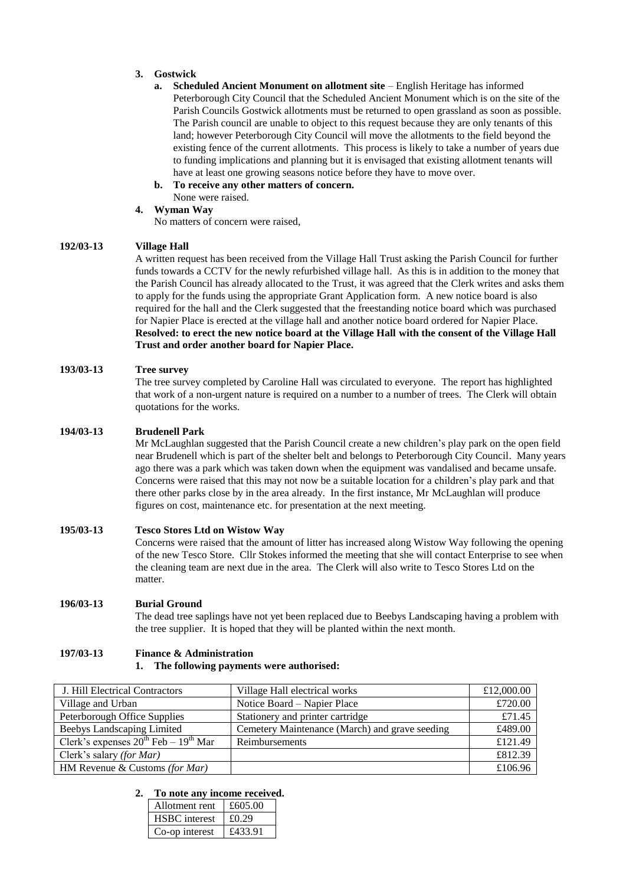#### **3. Gostwick**

- **a.** Scheduled Ancient Monument on allotment site English Heritage has informed Peterborough City Council that the Scheduled Ancient Monument which is on the site of the Parish Councils Gostwick allotments must be returned to open grassland as soon as possible. The Parish council are unable to object to this request because they are only tenants of this land; however Peterborough City Council will move the allotments to the field beyond the existing fence of the current allotments. This process is likely to take a number of years due to funding implications and planning but it is envisaged that existing allotment tenants will have at least one growing seasons notice before they have to move over.
- **b. To receive any other matters of concern.** None were raised.

#### **4. Wyman Way**

No matters of concern were raised,

#### **192/03-13 Village Hall**

A written request has been received from the Village Hall Trust asking the Parish Council for further funds towards a CCTV for the newly refurbished village hall. As this is in addition to the money that the Parish Council has already allocated to the Trust, it was agreed that the Clerk writes and asks them to apply for the funds using the appropriate Grant Application form. A new notice board is also required for the hall and the Clerk suggested that the freestanding notice board which was purchased for Napier Place is erected at the village hall and another notice board ordered for Napier Place. **Resolved: to erect the new notice board at the Village Hall with the consent of the Village Hall Trust and order another board for Napier Place.**

#### **193/03-13 Tree survey**

The tree survey completed by Caroline Hall was circulated to everyone. The report has highlighted that work of a non-urgent nature is required on a number to a number of trees. The Clerk will obtain quotations for the works.

# **194/03-13 Brudenell Park**

Mr McLaughlan suggested that the Parish Council create a new children's play park on the open field near Brudenell which is part of the shelter belt and belongs to Peterborough City Council. Many years ago there was a park which was taken down when the equipment was vandalised and became unsafe. Concerns were raised that this may not now be a suitable location for a children's play park and that there other parks close by in the area already. In the first instance, Mr McLaughlan will produce figures on cost, maintenance etc. for presentation at the next meeting.

# **195/03-13 Tesco Stores Ltd on Wistow Way**

Concerns were raised that the amount of litter has increased along Wistow Way following the opening of the new Tesco Store. Cllr Stokes informed the meeting that she will contact Enterprise to see when the cleaning team are next due in the area. The Clerk will also write to Tesco Stores Ltd on the matter.

#### **196/03-13 Burial Ground**

The dead tree saplings have not yet been replaced due to Beebys Landscaping having a problem with the tree supplier. It is hoped that they will be planted within the next month.

# **197/03-13 Finance & Administration**

#### **1. The following payments were authorised:**

| J. Hill Electrical Contractors                 | Village Hall electrical works                  | £12,000.00 |
|------------------------------------------------|------------------------------------------------|------------|
| Village and Urban                              | Notice Board – Napier Place                    | £720.00    |
| Peterborough Office Supplies                   | Stationery and printer cartridge               | £71.45     |
| Beebys Landscaping Limited                     | Cemetery Maintenance (March) and grave seeding | £489.00    |
| Clerk's expenses $20^{th}$ Feb – $19^{th}$ Mar | Reimbursements                                 | £121.49    |
| Clerk's salary (for Mar)                       |                                                | £812.39    |
| HM Revenue & Customs (for Mar)                 |                                                | £106.96    |

#### **2. To note any income received.**

| Allotment rent       | £605.00 |
|----------------------|---------|
| <b>HSBC</b> interest | £0.29   |
| Co-op interest       | £433.91 |